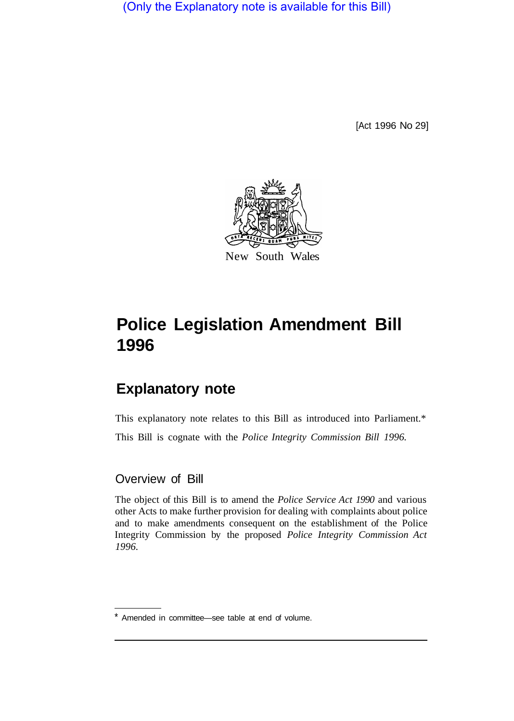(Only the Explanatory note is available for this Bill)

[Act 1996 No 29]



#### New South Wales

# **Police Legislation Amendment Bill 1996**

## **Explanatory note**

This explanatory note relates to this Bill as introduced into Parliament.\* This Bill is cognate with the *Police Integrity Commission Bill 1996.* 

#### Overview of Bill

The object of this Bill is to amend the *Police Service Act 1990* and various other Acts to make further provision for dealing with complaints about police and to make amendments consequent on the establishment of the Police Integrity Commission by the proposed *Police Integrity Commission Act 1996.* 

<sup>\*</sup> Amended in committee—see table at end of volume.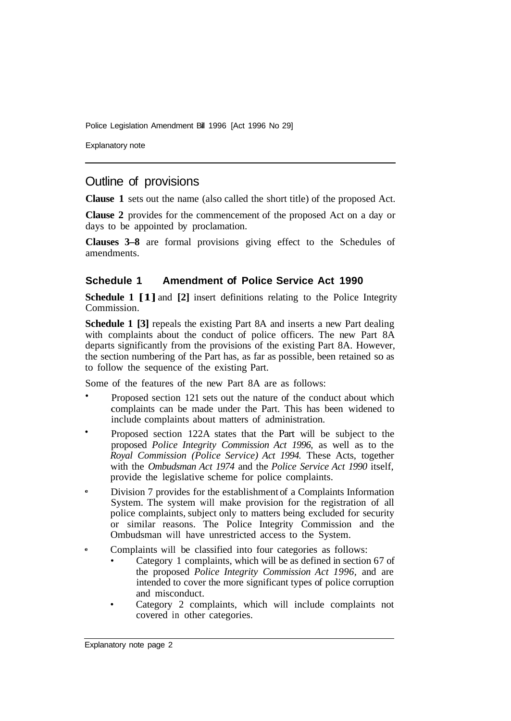Police Legislation Amendment Bill 1996 [Act 1996 No 29]

Explanatory note

### Outline of provisions

**Clause 1** sets out the name (also called the short title) of the proposed Act.

**Clause 2** provides for the commencement of the proposed Act on a day or days to be appointed by proclamation.

**Clauses 3–8** are formal provisions giving effect to the Schedules of amendments.

#### **Schedule 1 Amendment of Police Service Act 1990**

**Schedule 1 [1]** and **[2]** insert definitions relating to the Police Integrity Commission.

**Schedule 1 [3]** repeals the existing Part 8A and inserts a new Part dealing with complaints about the conduct of police officers. The new Part 8A departs significantly from the provisions of the existing Part 8A. However, the section numbering of the Part has, as far as possible, been retained so as to follow the sequence of the existing Part.

Some of the features of the new Part 8A are as follows:

- Proposed section 121 sets out the nature of the conduct about which complaints can be made under the Part. This has been widened to include complaints about matters of administration.
- Proposed section 122A states that the Part will be subject to the proposed *Police Integrity Commission Act 1996,* as well as to the *Royal Commission (Police Service) Act 1994.* These Acts, together with the *Ombudsman Act 1974* and the *Police Service Act 1990* itself, provide the legislative scheme for police complaints.
- **e**  Division 7 provides for the establishment of a Complaints Information System. The system will make provision for the registration of all police complaints, subject only to matters being excluded for security or similar reasons. The Police Integrity Commission and the Ombudsman will have unrestricted access to the System.
- **e**  Complaints will be classified into four categories as follows:
	- Category 1 complaints, which will be as defined in section 67 of the proposed *Police Integrity Commission Act 1996,* and are intended to cover the more significant types of police corruption and misconduct.
	- Category 2 complaints, which will include complaints not covered in other categories.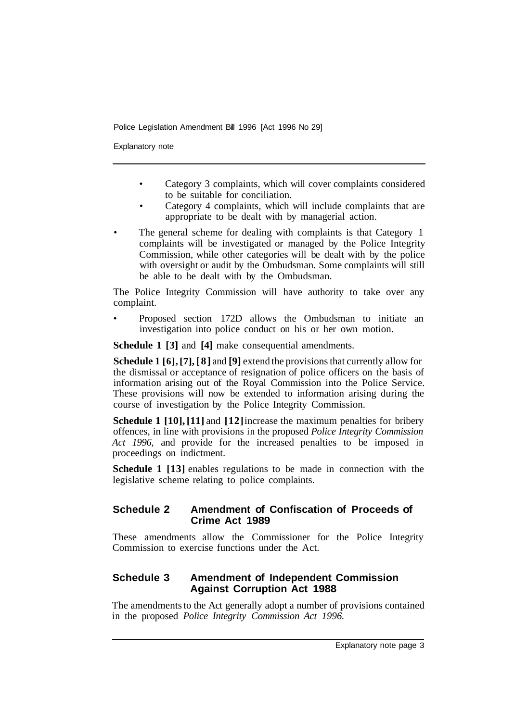Police Legislation Amendment Bill 1996 [Act 1996 No 29]

Explanatory note

- Category 3 complaints, which will cover complaints considered to be suitable for conciliation.
- Category 4 complaints, which will include complaints that are appropriate to be dealt with by managerial action.
- The general scheme for dealing with complaints is that Category 1 complaints will be investigated or managed by the Police Integrity Commission, while other categories will be dealt with by the police with oversight or audit by the Ombudsman. Some complaints will still be able to be dealt with by the Ombudsman.

The Police Integrity Commission will have authority to take over any complaint.

• Proposed section 172D allows the Ombudsman to initiate an investigation into police conduct on his or her own motion.

**Schedule 1 [3]** and **[4]** make consequential amendments.

**Schedule 1 [6], [7], [8]** and **[9]** extend the provisions that currently allow for the dismissal or acceptance of resignation of police officers on the basis of information arising out of the Royal Commission into the Police Service. These provisions will now be extended to information arising during the course of investigation by the Police Integrity Commission.

**Schedule 1 [10], [11]** and **[12]** increase the maximum penalties for bribery offences, in line with provisions in the proposed *Police Integrity Commission Act 1996,* and provide for the increased penalties to be imposed in proceedings on indictment.

**Schedule 1 [13]** enables regulations to be made in connection with the legislative scheme relating to police complaints.

#### **Schedule 2 Amendment of Confiscation of Proceeds of Crime Act 1989**

These amendments allow the Commissioner for the Police Integrity Commission to exercise functions under the Act.

#### **Schedule 3 Amendment of Independent Commission Against Corruption Act 1988**

The amendments to the Act generally adopt a number of provisions contained in the proposed *Police Integrity Commission Act 1996.*